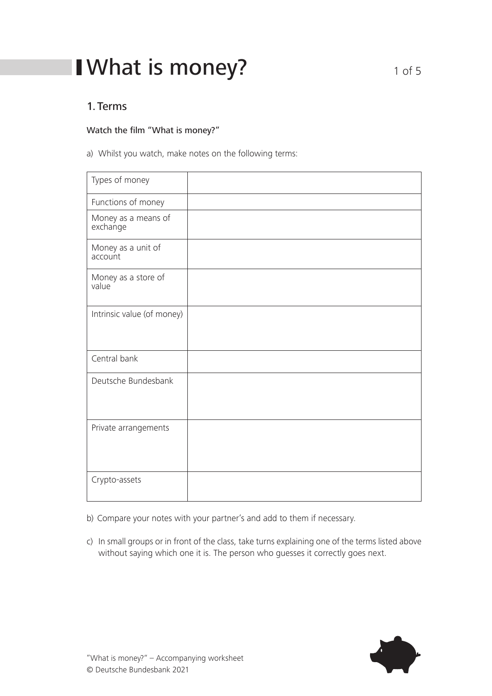# I What is money?  $10^{10}$  of 5

### 1.Terms

#### Watch the film "What is money?"

a) Whilst you watch, make notes on the following terms:

| Types of money                  |  |
|---------------------------------|--|
| Functions of money              |  |
| Money as a means of<br>exchange |  |
| Money as a unit of<br>account   |  |
| Money as a store of<br>value    |  |
| Intrinsic value (of money)      |  |
| Central bank                    |  |
| Deutsche Bundesbank             |  |
| Private arrangements            |  |
| Crypto-assets                   |  |

b) Compare your notes with your partner's and add to them if necessary.

c) In small groups or in front of the class, take turns explaining one of the terms listed above without saying which one it is. The person who guesses it correctly goes next.

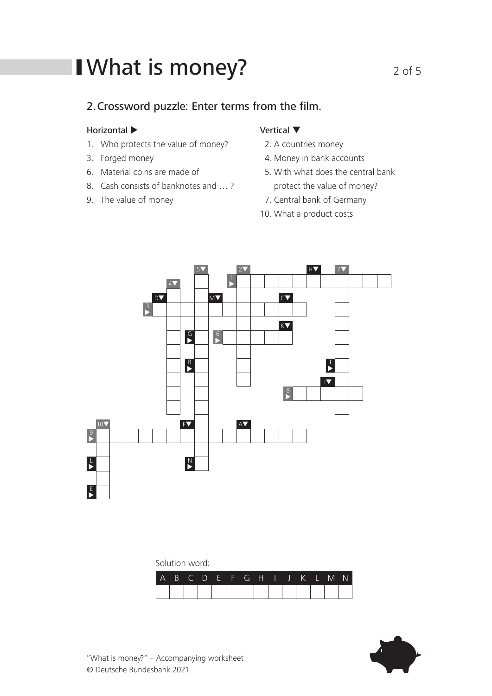# I What is money?  $2 \circ f 5$

### 2.Crossword puzzle: Enter terms from the film.

#### Horizontal  $\blacktriangleright$

- 1. Who protects the value of money?
- 3. Forged money
- 6. Material coins are made of
- 8. Cash consists of banknotes and … ?
- 9. The value of money

### Vertical ▼

- 2. A countries money
- 4. Money in bank accounts
- 5. With what does the central bank protect the value of money?
- 7. Central bank of Germany
- 10. What a product costs



Solution word:

| A B C D E F G H I J K L M N |  |  |  |  |  |  |  |
|-----------------------------|--|--|--|--|--|--|--|
|                             |  |  |  |  |  |  |  |

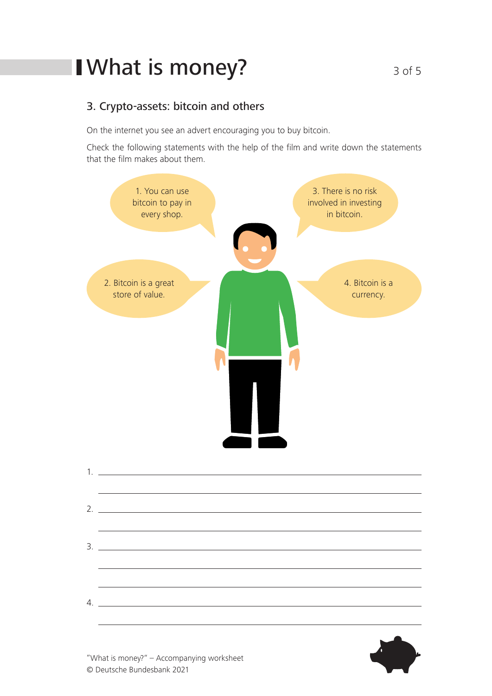# I What is money?<br>3 of 5

### 3. Crypto-assets: bitcoin and others

On the internet you see an advert encouraging you to buy bitcoin.

Check the following statements with the help of the film and write down the statements that the film makes about them.



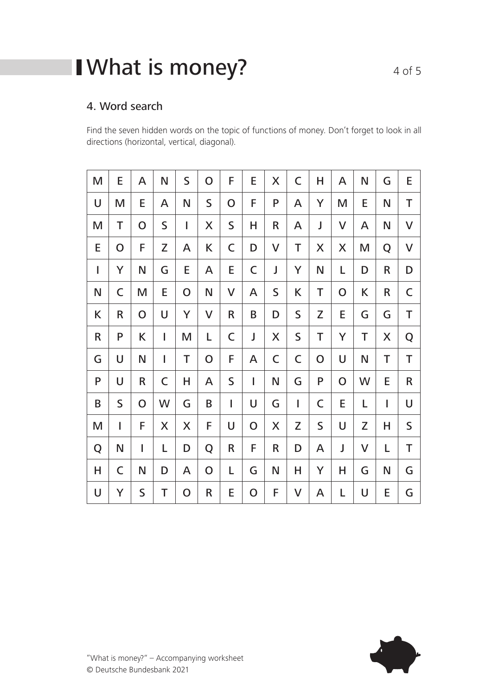# I What is money?  $4 \text{ of } 5$

## 4. Word search

Find the seven hidden words on the topic of functions of money. Don't forget to look in all directions (horizontal, vertical, diagonal).

| M              | E           | A | N           | $\mathsf S$ | O | F           | E            | X       | C           | Н | A            | N | G | E            |
|----------------|-------------|---|-------------|-------------|---|-------------|--------------|---------|-------------|---|--------------|---|---|--------------|
| U              | M           | E | A           | N           | S | O           | F            | P       | A           | Y | M            | E | N | T            |
| M              | T           | O | S           | I           | X | $\mathsf S$ | H            | $\sf R$ | A           | J | $\mathsf{V}$ | A | N | $\mathsf{V}$ |
| E              | O           | F | Z           | A           | K | C           | D            | V       | T           | X | X            | M | Q | $\sf V$      |
| $\overline{1}$ | Y           | Ν | G           | E           | A | E           | C            | J       | Y           | N | L            | D | R | D            |
| N              | C           | M | E           | O           | N | V           | A            | S       | K           | Τ | $\mathbf O$  | K | R | C            |
| K              | R           | O | U           | Y           | V | R           | B            | D       | $\mathsf S$ | Z | E            | G | G | T            |
| R              | P           | K | I           | M           | L | C           | J            | X       | S           | T | Y            | T | X | Q            |
| G              | U           | N | I           | Τ           | O | F           | A            | C       | $\mathsf C$ | O | U            | N | T | T            |
| P              | U           | R | $\mathsf C$ | Н           | A | S           | $\mathsf{I}$ | N       | G           | P | $\mathbf O$  | W | E | R            |
| B              | $\mathsf S$ | O | W           | G           | B | I           | U            | G       | T           | C | E            | L | I | U            |
| M              | I           | F | X           | X           | F | U           | $\mathbf O$  | X       | Z           | S | U            | Z | Н | $\mathsf S$  |
| Q              | N           | I | L           | D           | Q | R           | F            | R       | D           | A | J            | V | L | T            |
| Н              | C           | N | D           | A           | O | L           | G            | N       | Н           | Υ | Н            | G | N | G            |
| U              | Y           | S | Τ           | $\mathbf O$ | R | E           | $\mathbf O$  | F       | V           | A | L            | U | E | G            |